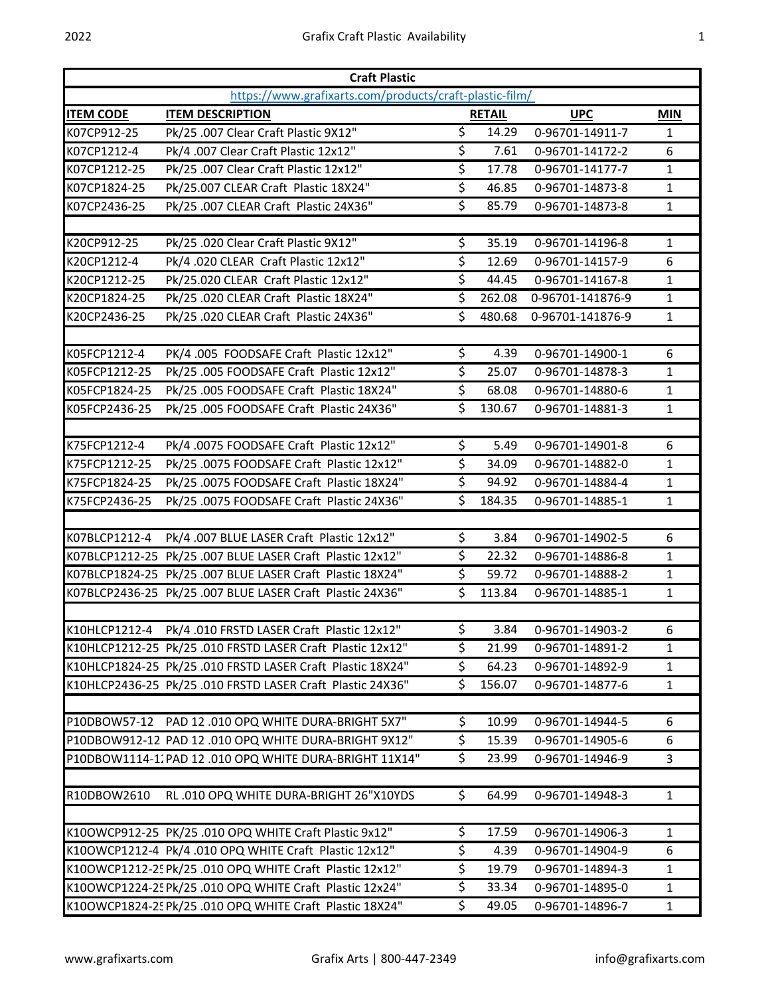| <b>Craft Plastic</b><br>https://www.grafixarts.com/products/craft-plastic-film/ |                                                            |                          |               |                  |              |  |  |  |  |
|---------------------------------------------------------------------------------|------------------------------------------------------------|--------------------------|---------------|------------------|--------------|--|--|--|--|
| <b>ITEM CODE</b>                                                                | <b>ITEM DESCRIPTION</b>                                    |                          | <b>RETAIL</b> | <b>UPC</b>       | <b>MIN</b>   |  |  |  |  |
| K07CP912-25                                                                     | Pk/25 .007 Clear Craft Plastic 9X12"                       | $\overline{\mathcal{S}}$ | 14.29         | 0-96701-14911-7  | 1            |  |  |  |  |
| K07CP1212-4                                                                     | Pk/4 .007 Clear Craft Plastic 12x12"                       | \$                       | 7.61          | 0-96701-14172-2  | 6            |  |  |  |  |
| K07CP1212-25                                                                    | Pk/25 .007 Clear Craft Plastic 12x12"                      | \$                       | 17.78         | 0-96701-14177-7  | 1            |  |  |  |  |
| K07CP1824-25                                                                    | Pk/25.007 CLEAR Craft Plastic 18X24"                       | \$                       | 46.85         | 0-96701-14873-8  | 1            |  |  |  |  |
| K07CP2436-25                                                                    | Pk/25 .007 CLEAR Craft Plastic 24X36"                      | \$                       | 85.79         | 0-96701-14873-8  | 1            |  |  |  |  |
| K20CP912-25                                                                     | Pk/25 .020 Clear Craft Plastic 9X12"                       | \$                       | 35.19         | 0-96701-14196-8  | $\mathbf{1}$ |  |  |  |  |
| K20CP1212-4                                                                     | Pk/4 .020 CLEAR Craft Plastic 12x12"                       | \$                       | 12.69         | 0-96701-14157-9  | 6            |  |  |  |  |
| K20CP1212-25                                                                    | Pk/25.020 CLEAR Craft Plastic 12x12"                       | \$                       | 44.45         | 0-96701-14167-8  | 1            |  |  |  |  |
| K20CP1824-25                                                                    | Pk/25 .020 CLEAR Craft Plastic 18X24"                      | $\overline{\mathsf{S}}$  | 262.08        | 0-96701-141876-9 | 1            |  |  |  |  |
| K20CP2436-25                                                                    | Pk/25 .020 CLEAR Craft Plastic 24X36"                      | \$                       | 480.68        | 0-96701-141876-9 | $\mathbf{1}$ |  |  |  |  |
| K05FCP1212-4                                                                    | PK/4 .005 FOODSAFE Craft Plastic 12x12"                    | \$                       | 4.39          | 0-96701-14900-1  | 6            |  |  |  |  |
| K05FCP1212-25                                                                   | Pk/25 .005 FOODSAFE Craft Plastic 12x12"                   | \$                       | 25.07         | 0-96701-14878-3  | $\mathbf{1}$ |  |  |  |  |
| K05FCP1824-25                                                                   | Pk/25 .005 FOODSAFE Craft Plastic 18X24"                   | \$                       | 68.08         | 0-96701-14880-6  | $\mathbf{1}$ |  |  |  |  |
| K05FCP2436-25                                                                   | Pk/25 .005 FOODSAFE Craft Plastic 24X36"                   | \$                       | 130.67        | 0-96701-14881-3  | 1            |  |  |  |  |
| K75FCP1212-4                                                                    | Pk/4 .0075 FOODSAFE Craft Plastic 12x12"                   | \$                       | 5.49          | 0-96701-14901-8  | 6            |  |  |  |  |
| K75FCP1212-25                                                                   | Pk/25 .0075 FOODSAFE Craft Plastic 12x12"                  | $\overline{\mathsf{S}}$  | 34.09         | 0-96701-14882-0  | $\mathbf{1}$ |  |  |  |  |
| K75FCP1824-25                                                                   | Pk/25 .0075 FOODSAFE Craft Plastic 18X24"                  | \$                       | 94.92         | 0-96701-14884-4  | 1            |  |  |  |  |
| K75FCP2436-25                                                                   | Pk/25 .0075 FOODSAFE Craft Plastic 24X36"                  | \$                       | 184.35        | 0-96701-14885-1  | 1            |  |  |  |  |
| K07BLCP1212-4                                                                   | Pk/4 .007 BLUE LASER Craft Plastic 12x12"                  | \$                       | 3.84          | 0-96701-14902-5  | 6            |  |  |  |  |
|                                                                                 | K07BLCP1212-25 Pk/25 .007 BLUE LASER Craft Plastic 12x12"  | \$                       | 22.32         | 0-96701-14886-8  | $\mathbf{1}$ |  |  |  |  |
|                                                                                 | K07BLCP1824-25 Pk/25 .007 BLUE LASER Craft Plastic 18X24"  | \$                       | 59.72         | 0-96701-14888-2  | 1            |  |  |  |  |
|                                                                                 | K07BLCP2436-25 Pk/25 .007 BLUE LASER Craft Plastic 24X36"  | \$                       | 113.84        | 0-96701-14885-1  | $\mathbf{1}$ |  |  |  |  |
|                                                                                 | K10HLCP1212-4 Pk/4 .010 FRSTD LASER Craft Plastic 12x12"   | \$                       | 3.84          | 0-96701-14903-2  | 6            |  |  |  |  |
|                                                                                 | K10HLCP1212-25 Pk/25 .010 FRSTD LASER Craft Plastic 12x12" | \$                       | 21.99         | 0-96701-14891-2  | 1            |  |  |  |  |
|                                                                                 | K10HLCP1824-25 Pk/25 .010 FRSTD LASER Craft Plastic 18X24" | \$                       | 64.23         | 0-96701-14892-9  | 1            |  |  |  |  |
|                                                                                 | K10HLCP2436-25 Pk/25 .010 FRSTD LASER Craft Plastic 24X36" | \$                       | 156.07        | 0-96701-14877-6  | 1            |  |  |  |  |
|                                                                                 | P10DBOW57-12 PAD 12 .010 OPQ WHITE DURA-BRIGHT 5X7"        | \$                       | 10.99         | 0-96701-14944-5  | 6            |  |  |  |  |
|                                                                                 | P10DBOW912-12 PAD 12 .010 OPQ WHITE DURA-BRIGHT 9X12"      | \$                       | 15.39         | 0-96701-14905-6  | 6            |  |  |  |  |
|                                                                                 | P10DBOW1114-1, PAD 12 .010 OPQ WHITE DURA-BRIGHT 11X14"    | \$                       | 23.99         | 0-96701-14946-9  | 3            |  |  |  |  |
| R10DBOW2610                                                                     | RL.010 OPQ WHITE DURA-BRIGHT 26"X10YDS                     | \$                       | 64.99         | 0-96701-14948-3  | $\mathbf{1}$ |  |  |  |  |
|                                                                                 | K10OWCP912-25 PK/25 .010 OPQ WHITE Craft Plastic 9x12"     | \$                       | 17.59         | 0-96701-14906-3  | $\mathbf{1}$ |  |  |  |  |
|                                                                                 | K10OWCP1212-4 Pk/4 .010 OPQ WHITE Craft Plastic 12x12"     | \$                       | 4.39          | 0-96701-14904-9  | 6            |  |  |  |  |
|                                                                                 | K10OWCP1212-25 Pk/25 .010 OPQ WHITE Craft Plastic 12x12"   | \$                       | 19.79         | 0-96701-14894-3  | 1            |  |  |  |  |
|                                                                                 | K10OWCP1224-25 Pk/25 .010 OPQ WHITE Craft Plastic 12x24"   | \$                       | 33.34         | 0-96701-14895-0  | 1            |  |  |  |  |
|                                                                                 |                                                            |                          |               |                  |              |  |  |  |  |

K10OWCP1824-25Pk/25 .010 OPQ WHITE Craft Plastic 18X24" \$ 49.05 0-96701-14896-7 1